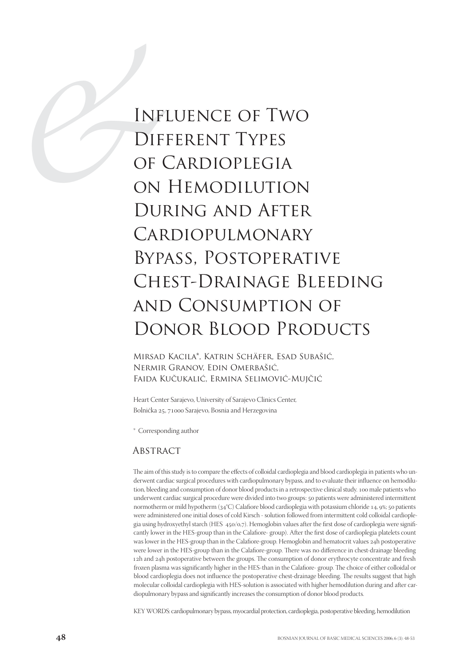# INF<br>DIF<br>DIF<br>OF<br>ON<br>DUI<br>CHE Influence of Two Different Types of Cardioplegia on Hemodilution During and After Cardiopulmonary Bypass, Postoperative Chest-Drainage Bleeding and Consumption of DONOR BLOOD PRODUCTS

Mirsad Kacila\*, Katrin Schäfer, Esad Subašić, Nermir Granov, Edin Omerbašić, Faida Kučukalić, Ermina Selimović-Mujčić

Heart Center Sarajevo, University of Sarajevo Clinics Center, Bolnička 25, 71000 Sarajevo, Bosnia and Herzegovina

\* Corresponding author

#### **ABSTRACT**

The aim of this study is to compare the effects of colloidal cardioplegia and blood cardioplegia in patients who underwent cardiac surgical procedures with cardiopulmonary bypass, and to evaluate their influence on hemodilution, bleeding and consumption of donor blood products in a retrospective clinical study. 100 male patients who underwent cardiac surgical procedure were divided into two groups: 50 patients were administered intermittent normotherm or mild hypotherm (34°C) Calafiore blood cardioplegia with potassium chloride 14, 9%; 50 patients were administered one initial doses of cold Kirsch - solution followed from intermittent cold colloidal cardioplegia using hydroxyethyl starch (HES  $450/0.7$ ). Hemoglobin values after the first dose of cardioplegia were significantly lower in the HES-group than in the Calafiore- group). After the first dose of cardioplegia platelets count was lower in the HES-group than in the Calafiore-group. Hemoglobin and hematocrit values 24h postoperative were lower in the HES-group than in the Calafiore-group. There was no difference in chest-drainage bleeding 12h and 24h postoperative between the groups. The consumption of donor erythrocyte concentrate and fresh frozen plasma was significantly higher in the HES-than in the Calafiore- group. The choice of either colloidal or blood cardioplegia does not influence the postoperative chest-drainage bleeding. The results suggest that high molecular colloidal cardioplegia with HES-solution is associated with higher hemodilution during and after cardiopulmonary bypass and significantly increases the consumption of donor blood products.

KEY WORDS: cardiopulmonary bypass, myocardial protection, cardioplegia, postoperative bleeding, hemodilution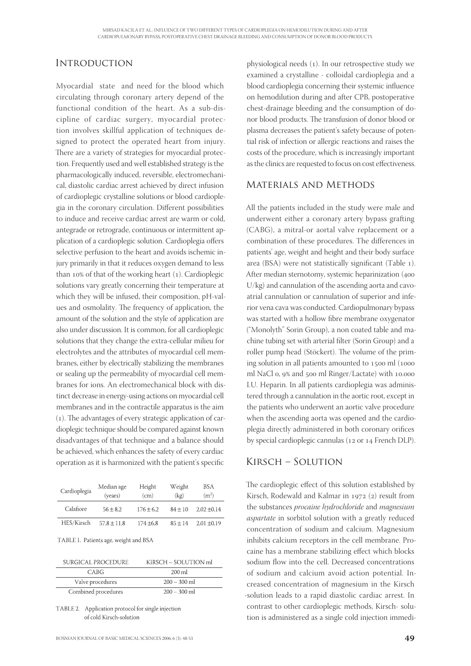## **INTRODUCTION**

Myocardial state and need for the blood which circulating through coronary artery depend of the functional condition of the heart. As a sub-discipline of cardiac surgery, myocardial protection involves skillful application of techniques designed to protect the operated heart from injury. There are a variety of strategies for myocardial protection. Frequently used and well established strategy is the pharmacologically induced, reversible, electromechanical, diastolic cardiac arrest achieved by direct infusion of cardioplegic crystalline solutions or blood cardioplegia in the coronary circulation. Different possibilities to induce and receive cardiac arrest are warm or cold, antegrade or retrograde, continuous or intermittent application of a cardioplegic solution. Cardioplegia offers selective perfusion to the heart and avoids ischemic injury primarily in that it reduces oxygen demand to less than 10% of that of the working heart  $(1)$ . Cardioplegic solutions vary greatly concerning their temperature at which they will be infused, their composition, pH-values and osmolality. The frequency of application, the amount of the solution and the style of application are also under discussion. It is common, for all cardioplegic solutions that they change the extra-cellular milieu for electrolytes and the attributes of myocardial cell membranes, either by electrically stabilizing the membranes or sealing up the permeability of myocardial cell membranes for ions. An electromechanical block with distinct decrease in energy-using actions on myocardial cell membranes and in the contractile apparatus is the aim (). The advantages of every strategic application of cardioplegic technique should be compared against known disadvantages of that technique and a balance should be achieved, which enhances the safety of every cardiac operation as it is harmonized with the patient's specific

| Cardioplegia | Median age<br>(years) | Height<br>(cm) | Weight<br>(kg) | BSA<br>(m <sup>2</sup> ) |
|--------------|-----------------------|----------------|----------------|--------------------------|
| Calafiore    | $56 \pm 8.2$          | $176 \pm 6.2$  | $84 + 10$      | $2.02 \pm 0.14$          |
| HES/Kirsch   | $57.8 \pm 11.8$       | $174 \pm 6.8$  | $85 + 14$      | $2,01 \pm 0.19$          |

TABLE 1. Patients age, weight and BSA

| SURGICAL PROCEDURE  | KIRSCH – SOLUTION ml |
|---------------------|----------------------|
| CABG                | 200 ml               |
| Valve procedures    | $200 - 300$ m        |
| Combined procedures | $200 - 300$ ml       |

TABLE 2. Application protocol for single injection of cold Kirsch-solution

physiological needs  $(1)$ . In our retrospective study we examined a crystalline - colloidal cardioplegia and a blood cardioplegia concerning their systemic influence on hemodilution during and after CPB, postoperative chest-drainage bleeding and the consumption of donor blood products. The transfusion of donor blood or plasma decreases the patient's safety because of potential risk of infection or allergic reactions and raises the costs of the procedure, which is increasingly important as the clinics are requested to focus on cost effectiveness.

#### Materials and Methods

All the patients included in the study were male and underwent either a coronary artery bypass grafting (CABG), a mitral-or aortal valve replacement or a combination of these procedures. The differences in patients' age, weight and height and their body surface area (BSA) were not statistically significant (Table ). After median sternotomy, systemic heparinization ( U/kg) and cannulation of the ascending aorta and cavoatrial cannulation or cannulation of superior and inferior vena cava was conducted. Cardiopulmonary bypass was started with a hollow fibre membrane oxygenator ("Monolyth" Sorin Group), a non coated table and machine tubing set with arterial filter (Sorin Group) and a roller pump head (Stöckert). The volume of the priming solution in all patients amounted to  $1500$  ml ( $1000$ ml NaCl 0, 9% and 500 ml Ringer/Lactate) with 10.000 I.U. Heparin. In all patients cardioplegia was administered through a cannulation in the aortic root, except in the patients who underwent an aortic valve procedure when the ascending aorta was opened and the cardioplegia directly administered in both coronary orifices by special cardioplegic cannulas (12 or 14 French DLP).

#### Kirsch – Solution

The cardioplegic effect of this solution established by Kirsch, Rodewald and Kalmar in 1972 (2) result from the substances procaine hydrochloride and magnesium aspartate in sorbitol solution with a greatly reduced concentration of sodium and calcium. Magnesium inhibits calcium receptors in the cell membrane. Procaine has a membrane stabilizing effect which blocks sodium flow into the cell. Decreased concentrations of sodium and calcium avoid action potential. Increased concentration of magnesium in the Kirsch -solution leads to a rapid diastolic cardiac arrest. In contrast to other cardioplegic methods, Kirsch- solution is administered as a single cold injection immedi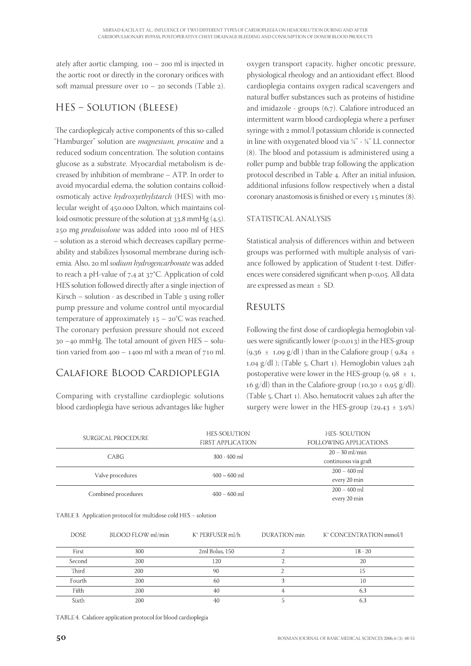ately after aortic clamping.  $100 - 200$  ml is injected in the aortic root or directly in the coronary orifices with soft manual pressure over  $10 - 20$  seconds (Table 2).

## HES – Solution (Bleese)

The cardioplegicaly active components of this so-called "Hamburger" solution are *magnesium, procaine* and a reduced sodium concentration. The solution contains glucose as a substrate. Myocardial metabolism is decreased by inhibition of membrane – ATP. In order to avoid myocardial edema, the solution contains colloidosmoticaly active hydroxyethylstarch (HES) with molecular weight of 450.000 Dalton, which maintains colloid osmotic pressure of the solution at  $33.8$  mmHg (4.5). 250 mg *prednisolone* was added into 1000 ml of HES – solution as a steroid which decreases capillary permeability and stabilizes lysosomal membrane during ischemia. Also, 20 ml sodium hydrogencarbonate was added to reach a pH-value of  $7.4$  at  $37^{\circ}$ C. Application of cold HES solution followed directly after a single injection of Kirsch – solution - as described in Table  $_3$  using roller pump pressure and volume control until myocardial temperature of approximately  $15 - 20$ °C was reached. The coronary perfusion pressure should not exceed  $30 - 40$  mmHg. The total amount of given HES – solution varied from  $400 - 1400$  ml with a mean of  $710$  ml.

# Calafiore Blood Cardioplegia

Comparing with crystalline cardioplegic solutions blood cardioplegia have serious advantages like higher

oxygen transport capacity, higher oncotic pressure, physiological rheology and an antioxidant effect. Blood cardioplegia contains oxygen radical scavengers and natural buffer substances such as proteins of histidine and imidazole - groups  $(6,7)$ . Calafiore introduced an intermittent warm blood cardioplegia where a perfuser syringe with 2 mmol/l potassium chloride is connected in line with oxygenated blood via ¼" - ¼" LL connector (8). The blood and potassium is administered using a roller pump and bubble trap following the application protocol described in Table 4. After an initial infusion, additional infusions follow respectively when a distal coronary anastomosis is finished or every  $15$  minutes  $(8)$ .

#### STATISTICAL ANALYSIS

Statistical analysis of differences within and between groups was performed with multiple analysis of variance followed by application of Student t-test. Differences were considered significant when p<0,05. All data are expressed as mean ± SD.

## **RESULTS**

Following the first dose of cardioplegia hemoglobin values were significantly lower  $(p<0,013)$  in the HES-group  $(9.36 \pm 1.09 \text{ g}/\text{d}$ ) than in the Calafiore group (9.84  $\pm$  $1,04 \text{ g}/dl$  ); (Table 5, Chart 1). Hemoglobin values  $24h$ postoperative were lower in the HES-group  $(9, 98 \pm 1, 1)$ 16 g/dl) than in the Calafiore-group  $(10, 30 \pm 0.95 \text{ g/dl}).$ (Table  $5$ , Chart 1). Also, hematocrit values  $24h$  after the surgery were lower in the HES-group ( $29,43 \pm 3,9\%$ )

|                                                                 | SURGICAL PROCEDURE | HES-SOLUTION<br><b>FIRST APPLICATION</b> |              | <b>HES- SOLUTION</b><br>FOLLOWING APPLICATIONS |
|-----------------------------------------------------------------|--------------------|------------------------------------------|--------------|------------------------------------------------|
|                                                                 | CABG               | 300 - 400 ml                             |              | $20 - 30$ ml/min<br>continuous via graft       |
| Valve procedures                                                |                    | $400 - 600$ ml                           |              | $200 - 400$ ml<br>every 20 min                 |
| Combined procedures                                             |                    | $400 - 600$ ml                           |              | $200 - 400$ ml<br>every 20 min                 |
| TABLE 3. Application protocol for multidose cold HES - solution |                    |                                          |              |                                                |
| <b>DOSE</b>                                                     | BLOOD FLOW ml/min  | K <sup>+</sup> PERFUSER ml/h             | DURATION min | K <sup>+</sup> CONCENTRATION mmol/l            |

| First  | 300 | 2ml Bolus, 150 | $18 - 20$ |
|--------|-----|----------------|-----------|
| Second | 200 | 120            | 20        |
| Third  | 200 | 90             |           |
| Fourth | 200 | 60             | 1U        |
| Fifth  | 200 | 40             | O.        |
| Sixth  | 200 | 40             | b         |

TABLE 4. Calafiore application protocol for blood cardioplegia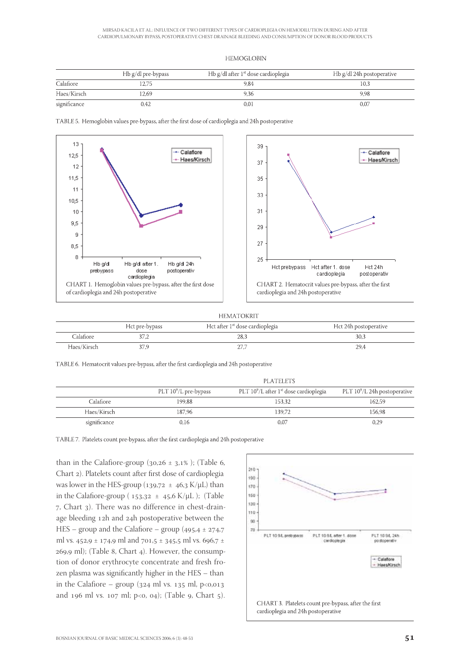#### **HEMOGLOBIN**

|              | Hb g/dl pre-bypass | Hb g/dl after $1st$ dose cardioplegia | Hb g/dl 24h postoperative |
|--------------|--------------------|---------------------------------------|---------------------------|
| Calafiore    | 2.75               | 9.84                                  | 10.3                      |
| Haes/Kirsch  | 12.69              | 9.36                                  | 9.98                      |
| significance | 0.42               | 0.01                                  | 0.07                      |

TABLE 5. Hemoglobin values pre-bypass, after the first dose of cardioplegia and 24h postoperative



#### **HEMATOKRIT**

|             | Hct pre-bypass | Hct after 1 <sup>st</sup> dose cardioplegia | Hct 24h postoperative |
|-------------|----------------|---------------------------------------------|-----------------------|
| Calafiore   | 37,Z           | 28.3                                        | 30,3                  |
| Haes/Kirsch |                | - 1                                         | 29,4                  |

TABLE 6. Hematocrit values pre-bypass, after the first cardioplegia and 24h postoperative

|              | <b>PLATELETS</b>         |                                                       |                                 |
|--------------|--------------------------|-------------------------------------------------------|---------------------------------|
|              | PLT $10^9$ /L pre-bypass | PLT $10^9$ /L after 1 <sup>st</sup> dose cardioplegia | PLT $10^9$ /L 24h postoperative |
| Calafiore    | 199.88                   | 153.32                                                | 162.59                          |
| Haes/Kirsch  | 187.96                   | 139.72                                                | 156.98                          |
| significance | 0.16                     | $_{0.07}$                                             | 0.29                            |

TABLE 7. Platelets count pre-bypass, after the first cardioplegia and 24h postoperative

than in the Calafiore-group ( $30,26 \pm 3,1\%$ ); (Table 6, Chart 2). Platelets count after first dose of cardioplegia was lower in the HES-group ( $139.72 \pm 46.3$  K/μL) than in the Calafiore-group ( $153.32 \pm 45.6$  K/ $\mu$ L); (Table , Chart ). There was no difference in chest-drainage bleeding 12h and 24h postoperative between the HES – group and the Calafiore – group  $(495.4 \pm 274.7)$ ml vs. 452,9 ± 174,9 ml and 701,5 ± 345,5 ml vs. 696,7 ±  $269,9$  ml); (Table 8, Chart 4). However, the consumption of donor erythrocyte concentrate and fresh frozen plasma was significantly higher in the HES – than in the Calafiore – group ( $324$  ml vs.  $135$  ml,  $p < 0.013$ and 196 ml vs. 107 ml; p<0, 04); (Table 9, Chart 5).

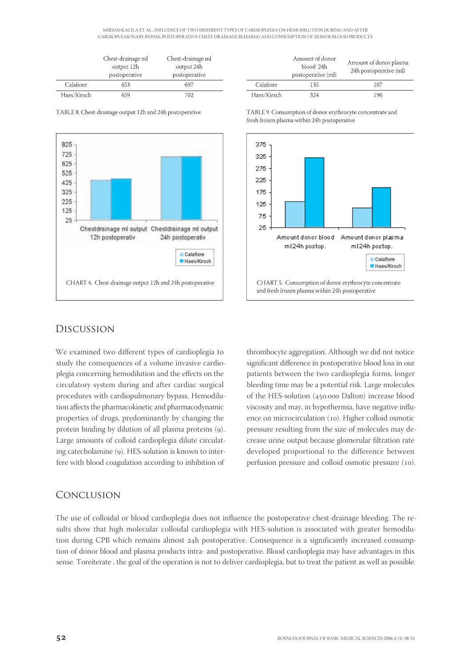MIRSAD KACILA ET AL.: INFLUENCE OF TWO DIFFERENT TYPES OF CARDIOPLEGIA ON HEMODILUTION DURING AND AFTER CARDIOPULMONARY BYPASS, POSTOPERATIVE CHEST-DRAINAGE BLEEDING AND CONSUMPTION OF DONOR BLOOD PRODUCTS

|             | Chest-drainage ml<br>output 12h<br>postoperative | Chest-drainage ml<br>output 24h<br>postoperative |
|-------------|--------------------------------------------------|--------------------------------------------------|
| Calafiore   | 453                                              | 697                                              |
| Haes/Kirsch | 159                                              | 702                                              |

TABLE 8. Chest-drainage output 12h and 24h postoperative



|             | Amount of donor<br>blood 24h<br>postoperative (ml) | Amount of donor plasma<br>24h postoperative (ml) |
|-------------|----------------------------------------------------|--------------------------------------------------|
| Calafiore   | 135                                                | 107                                              |
| Haes/Kirsch | 324                                                | 196                                              |

TABLE 9. Consumption of donor erythrocyte concentrate and fresh frozen plasma within 24h postoperative



#### Discussion

We examined two different types of cardioplegia to study the consequences of a volume invasive cardioplegia concerning hemodilution and the effects on the circulatory system during and after cardiac surgical procedures with cardiopulmonary bypass. Hemodilution affects the pharmacokinetic and pharmacodynamic properties of drugs, predominantly by changing the protein binding by dilution of all plasma proteins (9). Large amounts of colloid cardioplegia dilute circulating catecholamine (9). HES-solution is known to interfere with blood coagulation according to inhibition of thrombocyte aggregation. Although we did not notice significant difference in postoperative blood loss in our patients between the two cardioplegia forms, longer bleeding time may be a potential risk. Large molecules of the HES-solution (450.000 Dalton) increase blood viscosity and may, in hypothermia, have negative influence on microcirculation (10). Higher colloid osmotic pressure resulting from the size of molecules may decrease urine output because glomerular filtration rate developed proportional to the difference between perfusion pressure and colloid osmotic pressure (10).

#### Conclusion

The use of colloidal or blood cardioplegia does not influence the postoperative chest-drainage bleeding. The results show that high molecular colloidal cardioplegia with HES-solution is associated with greater hemodilution during CPB which remains almost 24h postoperative. Consequence is a significantly increased consumption of donor blood and plasma products intra- and postoperative. Blood cardioplegia may have advantages in this sense. Toreiterate , the goal of the operation is not to deliver cardioplegia, but to treat the patient as well as possible.